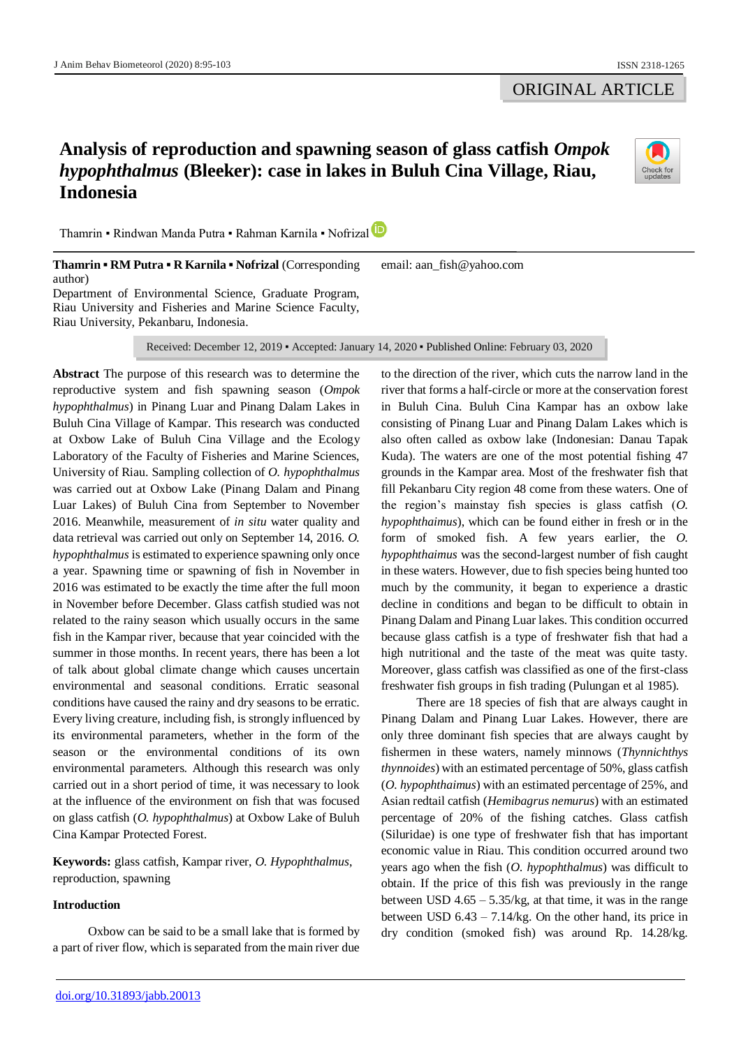## ORIGINAL ARTICLE

# **Analysis of reproduction and spawning season of glass catfish** *Ompok hypophthalmus* **(Bleeker): case in lakes in Buluh Cina Village, Riau, Indonesia**



Thamrin ▪ Rindwan Manda Putra ▪ Rahman Karnila ▪ Nofrizal

**Thamrin ▪ RM Putra ▪ R Karnila ▪ Nofrizal** (Corresponding author) Department of Environmental Science, Graduate Program, Riau University and Fisheries and Marine Science Faculty, Riau University, Pekanbaru, Indonesia. email: aan\_fish@yahoo.com

Received: December 12, 2019 ▪ Accepted: January 14, 2020 ▪ Published Online: February 03, 2020

**Abstract** The purpose of this research was to determine the reproductive system and fish spawning season (*Ompok hypophthalmus*) in Pinang Luar and Pinang Dalam Lakes in Buluh Cina Village of Kampar. This research was conducted at Oxbow Lake of Buluh Cina Village and the Ecology Laboratory of the Faculty of Fisheries and Marine Sciences, University of Riau. Sampling collection of *O. hypophthalmus* was carried out at Oxbow Lake (Pinang Dalam and Pinang Luar Lakes) of Buluh Cina from September to November 2016. Meanwhile, measurement of *in situ* water quality and data retrieval was carried out only on September 14, 2016. *O. hypophthalmus* is estimated to experience spawning only once a year. Spawning time or spawning of fish in November in 2016 was estimated to be exactly the time after the full moon in November before December. Glass catfish studied was not related to the rainy season which usually occurs in the same fish in the Kampar river, because that year coincided with the summer in those months. In recent years, there has been a lot of talk about global climate change which causes uncertain environmental and seasonal conditions. Erratic seasonal conditions have caused the rainy and dry seasons to be erratic. Every living creature, including fish, is strongly influenced by its environmental parameters, whether in the form of the season or the environmental conditions of its own environmental parameters. Although this research was only carried out in a short period of time, it was necessary to look at the influence of the environment on fish that was focused on glass catfish (*O. hypophthalmus*) at Oxbow Lake of Buluh Cina Kampar Protected Forest.

**Keywords:** glass catfish, Kampar river, *O. Hypophthalmus*, reproduction, spawning

## **Introduction**

Oxbow can be said to be a small lake that is formed by a part of river flow, which is separated from the main river due

to the direction of the river, which cuts the narrow land in the river that forms a half-circle or more at the conservation forest in Buluh Cina. Buluh Cina Kampar has an oxbow lake consisting of Pinang Luar and Pinang Dalam Lakes which is also often called as oxbow lake (Indonesian: Danau Tapak Kuda). The waters are one of the most potential fishing 47 grounds in the Kampar area. Most of the freshwater fish that fill Pekanbaru City region 48 come from these waters. One of the region's mainstay fish species is glass catfish (*O. hypophthaimus*), which can be found either in fresh or in the form of smoked fish. A few years earlier, the *O. hypophthaimus* was the second-largest number of fish caught in these waters. However, due to fish species being hunted too much by the community, it began to experience a drastic decline in conditions and began to be difficult to obtain in Pinang Dalam and Pinang Luar lakes. This condition occurred because glass catfish is a type of freshwater fish that had a high nutritional and the taste of the meat was quite tasty. Moreover, glass catfish was classified as one of the first-class freshwater fish groups in fish trading (Pulungan et al 1985).

There are 18 species of fish that are always caught in Pinang Dalam and Pinang Luar Lakes. However, there are only three dominant fish species that are always caught by fishermen in these waters, namely minnows (*Thynnichthys thynnoides*) with an estimated percentage of 50%, glass catfish (*O. hypophthaimus*) with an estimated percentage of 25%, and Asian redtail catfish (*Hemibagrus nemurus*) with an estimated percentage of 20% of the fishing catches. Glass catfish (Siluridae) is one type of freshwater fish that has important economic value in Riau. This condition occurred around two years ago when the fish (*O. hypophthalmus*) was difficult to obtain. If the price of this fish was previously in the range between USD  $4.65 - 5.35/kg$ , at that time, it was in the range between USD 6.43 – 7.14/kg. On the other hand, its price in dry condition (smoked fish) was around Rp. 14.28/kg.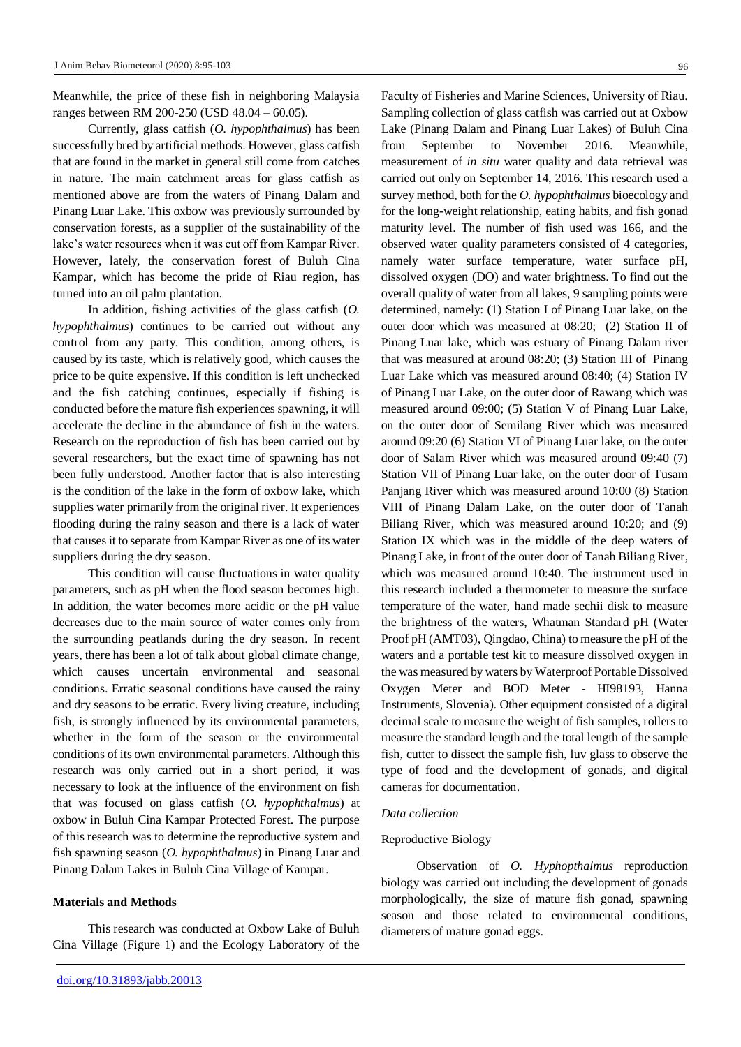Meanwhile, the price of these fish in neighboring Malaysia ranges between RM 200-250 (USD 48.04 – 60.05).

Currently, glass catfish (*O. hypophthalmus*) has been successfully bred by artificial methods. However, glass catfish that are found in the market in general still come from catches in nature. The main catchment areas for glass catfish as mentioned above are from the waters of Pinang Dalam and Pinang Luar Lake. This oxbow was previously surrounded by conservation forests, as a supplier of the sustainability of the lake's water resources when it was cut off from Kampar River. However, lately, the conservation forest of Buluh Cina Kampar, which has become the pride of Riau region, has turned into an oil palm plantation.

In addition, fishing activities of the glass catfish (*O. hypophthalmus*) continues to be carried out without any control from any party. This condition, among others, is caused by its taste, which is relatively good, which causes the price to be quite expensive. If this condition is left unchecked and the fish catching continues, especially if fishing is conducted before the mature fish experiences spawning, it will accelerate the decline in the abundance of fish in the waters. Research on the reproduction of fish has been carried out by several researchers, but the exact time of spawning has not been fully understood. Another factor that is also interesting is the condition of the lake in the form of oxbow lake, which supplies water primarily from the original river. It experiences flooding during the rainy season and there is a lack of water that causes it to separate from Kampar River as one of its water suppliers during the dry season.

This condition will cause fluctuations in water quality parameters, such as pH when the flood season becomes high. In addition, the water becomes more acidic or the pH value decreases due to the main source of water comes only from the surrounding peatlands during the dry season. In recent years, there has been a lot of talk about global climate change, which causes uncertain environmental and seasonal conditions. Erratic seasonal conditions have caused the rainy and dry seasons to be erratic. Every living creature, including fish, is strongly influenced by its environmental parameters, whether in the form of the season or the environmental conditions of its own environmental parameters. Although this research was only carried out in a short period, it was necessary to look at the influence of the environment on fish that was focused on glass catfish (*O. hypophthalmus*) at oxbow in Buluh Cina Kampar Protected Forest. The purpose of this research was to determine the reproductive system and fish spawning season (*O. hypophthalmus*) in Pinang Luar and Pinang Dalam Lakes in Buluh Cina Village of Kampar.

## **Materials and Methods**

This research was conducted at Oxbow Lake of Buluh Cina Village (Figure 1) and the Ecology Laboratory of the

Faculty of Fisheries and Marine Sciences, University of Riau. Sampling collection of glass catfish was carried out at Oxbow Lake (Pinang Dalam and Pinang Luar Lakes) of Buluh Cina from September to November 2016. Meanwhile, measurement of *in situ* water quality and data retrieval was carried out only on September 14, 2016. This research used a survey method, both for the *O. hypophthalmus* bioecology and for the long-weight relationship, eating habits, and fish gonad maturity level. The number of fish used was 166, and the observed water quality parameters consisted of 4 categories, namely water surface temperature, water surface pH, dissolved oxygen (DO) and water brightness. To find out the overall quality of water from all lakes, 9 sampling points were determined, namely: (1) Station I of Pinang Luar lake, on the outer door which was measured at 08:20; (2) Station II of Pinang Luar lake, which was estuary of Pinang Dalam river that was measured at around 08:20; (3) Station III of Pinang Luar Lake which vas measured around 08:40; (4) Station IV of Pinang Luar Lake, on the outer door of Rawang which was measured around 09:00; (5) Station V of Pinang Luar Lake, on the outer door of Semilang River which was measured around 09:20 (6) Station VI of Pinang Luar lake, on the outer door of Salam River which was measured around 09:40 (7) Station VII of Pinang Luar lake, on the outer door of Tusam Panjang River which was measured around 10:00 (8) Station VIII of Pinang Dalam Lake, on the outer door of Tanah Biliang River, which was measured around 10:20; and (9) Station IX which was in the middle of the deep waters of Pinang Lake, in front of the outer door of Tanah Biliang River, which was measured around 10:40. The instrument used in this research included a thermometer to measure the surface temperature of the water, hand made sechii disk to measure the brightness of the waters, Whatman Standard pH (Water Proof pH (AMT03), Qingdao, China) to measure the pH of the waters and a portable test kit to measure dissolved oxygen in the was measured by waters by Waterproof Portable Dissolved Oxygen Meter and BOD Meter - HI98193, Hanna Instruments, Slovenia). Other equipment consisted of a digital decimal scale to measure the weight of fish samples, rollers to measure the standard length and the total length of the sample fish, cutter to dissect the sample fish, luv glass to observe the type of food and the development of gonads, and digital cameras for documentation.

#### *Data collection*

#### Reproductive Biology

Observation of *O. Hyphopthalmus* reproduction biology was carried out including the development of gonads morphologically, the size of mature fish gonad, spawning season and those related to environmental conditions, diameters of mature gonad eggs.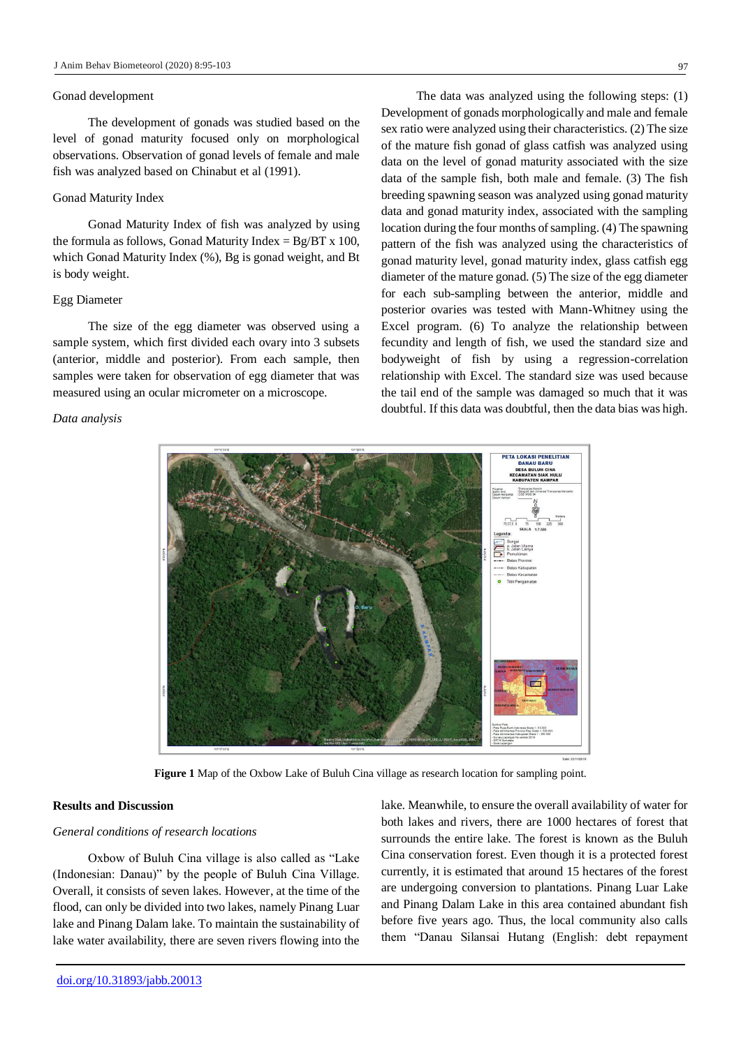#### Gonad development

The development of gonads was studied based on the level of gonad maturity focused only on morphological observations. Observation of gonad levels of female and male fish was analyzed based on Chinabut et al (1991).

#### Gonad Maturity Index

Gonad Maturity Index of fish was analyzed by using the formula as follows, Gonad Maturity Index =  $Bg/BT \times 100$ , which Gonad Maturity Index (%), Bg is gonad weight, and Bt is body weight.

#### Egg Diameter

The size of the egg diameter was observed using a sample system, which first divided each ovary into 3 subsets (anterior, middle and posterior). From each sample, then samples were taken for observation of egg diameter that was measured using an ocular micrometer on a microscope.

#### *Data analysis*

The data was analyzed using the following steps: (1) Development of gonads morphologically and male and female sex ratio were analyzed using their characteristics. (2) The size of the mature fish gonad of glass catfish was analyzed using data on the level of gonad maturity associated with the size data of the sample fish, both male and female. (3) The fish breeding spawning season was analyzed using gonad maturity data and gonad maturity index, associated with the sampling location during the four months of sampling. (4) The spawning pattern of the fish was analyzed using the characteristics of gonad maturity level, gonad maturity index, glass catfish egg diameter of the mature gonad. (5) The size of the egg diameter for each sub-sampling between the anterior, middle and posterior ovaries was tested with Mann-Whitney using the Excel program. (6) To analyze the relationship between fecundity and length of fish, we used the standard size and bodyweight of fish by using a regression-correlation relationship with Excel. The standard size was used because the tail end of the sample was damaged so much that it was doubtful. If this data was doubtful, then the data bias was high.



**Figure 1** Map of the Oxbow Lake of Buluh Cina village as research location for sampling point.

#### **Results and Discussion**

#### *General conditions of research locations*

Oxbow of Buluh Cina village is also called as "Lake (Indonesian: Danau)" by the people of Buluh Cina Village. Overall, it consists of seven lakes. However, at the time of the flood, can only be divided into two lakes, namely Pinang Luar lake and Pinang Dalam lake. To maintain the sustainability of lake water availability, there are seven rivers flowing into the lake. Meanwhile, to ensure the overall availability of water for both lakes and rivers, there are 1000 hectares of forest that surrounds the entire lake. The forest is known as the Buluh Cina conservation forest. Even though it is a protected forest currently, it is estimated that around 15 hectares of the forest are undergoing conversion to plantations. Pinang Luar Lake and Pinang Dalam Lake in this area contained abundant fish before five years ago. Thus, the local community also calls them "Danau Silansai Hutang (English: debt repayment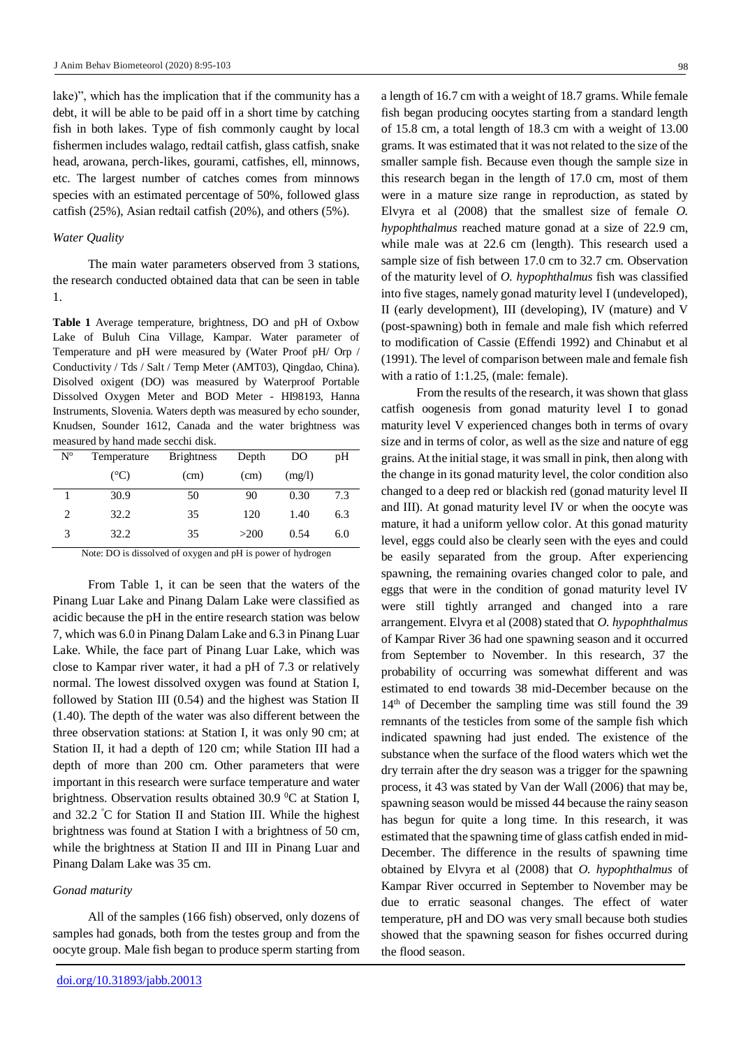lake)", which has the implication that if the community has a debt, it will be able to be paid off in a short time by catching fish in both lakes. Type of fish commonly caught by local fishermen includes walago, redtail catfish, glass catfish, snake head, arowana, perch-likes, gourami, catfishes, ell, minnows, etc. The largest number of catches comes from minnows species with an estimated percentage of 50%, followed glass catfish (25%), Asian redtail catfish (20%), and others (5%).

#### *Water Quality*

The main water parameters observed from 3 stations, the research conducted obtained data that can be seen in table 1.

**Table 1** Average temperature, brightness, DO and pH of Oxbow Lake of Buluh Cina Village, Kampar. Water parameter of Temperature and pH were measured by (Water Proof pH/ Orp / Conductivity / Tds / Salt / Temp Meter (AMT03), Qingdao, China). Disolved oxigent (DO) was measured by Waterproof Portable Dissolved Oxygen Meter and BOD Meter - HI98193, Hanna Instruments, Slovenia. Waters depth was measured by echo sounder, Knudsen, Sounder 1612, Canada and the water brightness was measured by hand made secchi disk.

| N <sup>o</sup> | Temperature   | <b>Brightness</b> | Depth | DO     | pH  |
|----------------|---------------|-------------------|-------|--------|-----|
|                | $(^{\circ}C)$ | (cm)              | (cm)  | (mg/l) |     |
|                | 30.9          | 50                | 90    | 0.30   | 7.3 |
| 2              | 32.2          | 35                | 120   | 1.40   | 6.3 |
| 3              | 32.2          | 35                | >200  | 0.54   | 6.0 |

Note: DO is dissolved of oxygen and pH is power of hydrogen

From Table 1, it can be seen that the waters of the Pinang Luar Lake and Pinang Dalam Lake were classified as acidic because the pH in the entire research station was below 7, which was 6.0 in Pinang Dalam Lake and 6.3 in Pinang Luar Lake. While, the face part of Pinang Luar Lake, which was close to Kampar river water, it had a pH of 7.3 or relatively normal. The lowest dissolved oxygen was found at Station I, followed by Station III (0.54) and the highest was Station II (1.40). The depth of the water was also different between the three observation stations: at Station I, it was only 90 cm; at Station II, it had a depth of 120 cm; while Station III had a depth of more than 200 cm. Other parameters that were important in this research were surface temperature and water brightness. Observation results obtained 30.9  $\rm{^0C}$  at Station I, and 32.2 <sup>º</sup>C for Station II and Station III. While the highest brightness was found at Station I with a brightness of 50 cm, while the brightness at Station II and III in Pinang Luar and Pinang Dalam Lake was 35 cm.

## *Gonad maturity*

All of the samples (166 fish) observed, only dozens of samples had gonads, both from the testes group and from the oocyte group. Male fish began to produce sperm starting from

a length of 16.7 cm with a weight of 18.7 grams. While female fish began producing oocytes starting from a standard length of 15.8 cm, a total length of 18.3 cm with a weight of 13.00 grams. It was estimated that it was not related to the size of the smaller sample fish. Because even though the sample size in this research began in the length of 17.0 cm, most of them were in a mature size range in reproduction, as stated by Elvyra et al (2008) that the smallest size of female *O. hypophthalmus* reached mature gonad at a size of 22.9 cm, while male was at 22.6 cm (length). This research used a sample size of fish between 17.0 cm to 32.7 cm. Observation of the maturity level of *O. hypophthalmus* fish was classified into five stages, namely gonad maturity level I (undeveloped), II (early development), III (developing), IV (mature) and V (post-spawning) both in female and male fish which referred to modification of Cassie (Effendi 1992) and Chinabut et al (1991). The level of comparison between male and female fish with a ratio of 1:1.25, (male: female).

From the results of the research, it was shown that glass catfish oogenesis from gonad maturity level I to gonad maturity level V experienced changes both in terms of ovary size and in terms of color, as well as the size and nature of egg grains. At the initial stage, it was small in pink, then along with the change in its gonad maturity level, the color condition also changed to a deep red or blackish red (gonad maturity level II and III). At gonad maturity level IV or when the oocyte was mature, it had a uniform yellow color. At this gonad maturity level, eggs could also be clearly seen with the eyes and could be easily separated from the group. After experiencing spawning, the remaining ovaries changed color to pale, and eggs that were in the condition of gonad maturity level IV were still tightly arranged and changed into a rare arrangement. Elvyra et al (2008) stated that *O. hypophthalmus* of Kampar River 36 had one spawning season and it occurred from September to November. In this research, 37 the probability of occurring was somewhat different and was estimated to end towards 38 mid-December because on the 14<sup>th</sup> of December the sampling time was still found the 39 remnants of the testicles from some of the sample fish which indicated spawning had just ended. The existence of the substance when the surface of the flood waters which wet the dry terrain after the dry season was a trigger for the spawning process, it 43 was stated by Van der Wall (2006) that may be, spawning season would be missed 44 because the rainy season has begun for quite a long time. In this research, it was estimated that the spawning time of glass catfish ended in mid-December. The difference in the results of spawning time obtained by Elvyra et al (2008) that *O. hypophthalmus* of Kampar River occurred in September to November may be due to erratic seasonal changes. The effect of water temperature, pH and DO was very small because both studies showed that the spawning season for fishes occurred during the flood season.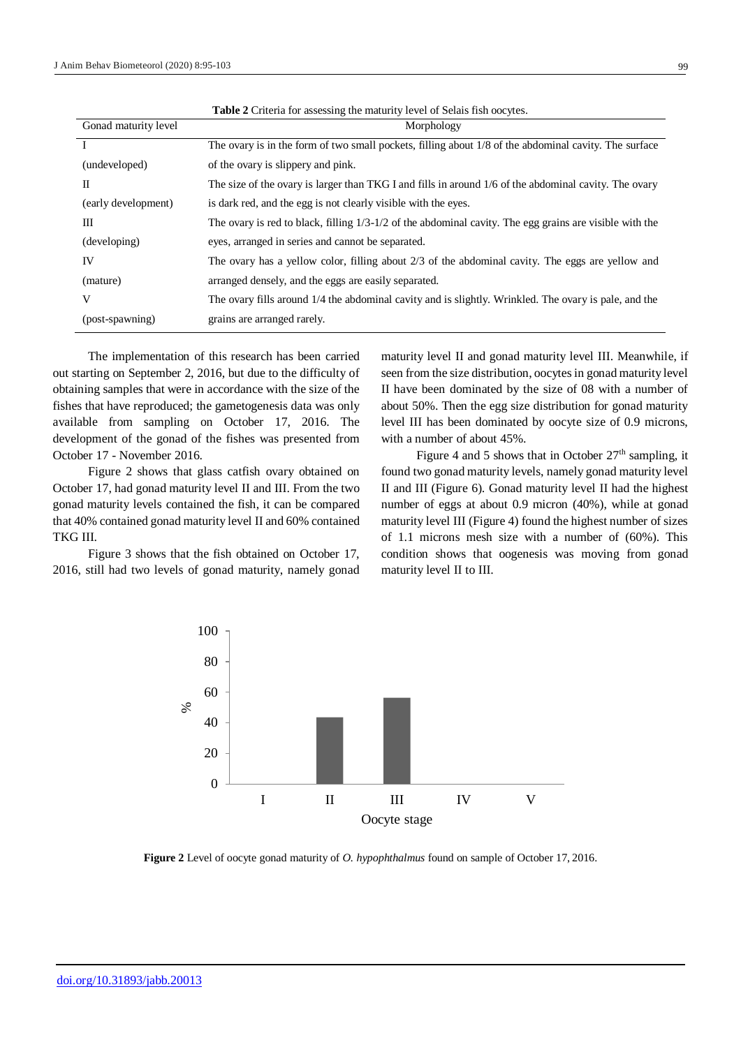| <b>Table 2</b> Criteria for assessing the maturity level of Selais fish objects. |                                                                                                               |  |  |  |
|----------------------------------------------------------------------------------|---------------------------------------------------------------------------------------------------------------|--|--|--|
| Gonad maturity level                                                             | Morphology                                                                                                    |  |  |  |
|                                                                                  | The ovary is in the form of two small pockets, filling about 1/8 of the abdominal cavity. The surface         |  |  |  |
| (undeveloped)                                                                    | of the ovary is slippery and pink.                                                                            |  |  |  |
| П                                                                                | The size of the ovary is larger than TKG I and fills in around 1/6 of the abdominal cavity. The ovary         |  |  |  |
| (early development)                                                              | is dark red, and the egg is not clearly visible with the eyes.                                                |  |  |  |
| Ш                                                                                | The ovary is red to black, filling $1/3$ - $1/2$ of the abdominal cavity. The egg grains are visible with the |  |  |  |
| (developing)                                                                     | eyes, arranged in series and cannot be separated.                                                             |  |  |  |
| IV                                                                               | The ovary has a yellow color, filling about $2/3$ of the abdominal cavity. The eggs are yellow and            |  |  |  |
| (mature)                                                                         | arranged densely, and the eggs are easily separated.                                                          |  |  |  |
| V                                                                                | The ovary fills around 1/4 the abdominal cavity and is slightly. Wrinkled. The ovary is pale, and the         |  |  |  |
| (post-spawning)                                                                  | grains are arranged rarely.                                                                                   |  |  |  |

The implementation of this research has been carried out starting on September 2, 2016, but due to the difficulty of obtaining samples that were in accordance with the size of the fishes that have reproduced; the gametogenesis data was only available from sampling on October 17, 2016. The development of the gonad of the fishes was presented from October 17 - November 2016.

Figure 2 shows that glass catfish ovary obtained on October 17, had gonad maturity level II and III. From the two gonad maturity levels contained the fish, it can be compared that 40% contained gonad maturity level II and 60% contained TKG III.

Figure 3 shows that the fish obtained on October 17, 2016, still had two levels of gonad maturity, namely gonad maturity level II and gonad maturity level III. Meanwhile, if seen from the size distribution, oocytes in gonad maturity level II have been dominated by the size of 08 with a number of about 50%. Then the egg size distribution for gonad maturity level III has been dominated by oocyte size of 0.9 microns, with a number of about 45%.

Figure 4 and 5 shows that in October  $27<sup>th</sup>$  sampling, it found two gonad maturity levels, namely gonad maturity level II and III (Figure 6). Gonad maturity level II had the highest number of eggs at about 0.9 micron (40%), while at gonad maturity level III (Figure 4) found the highest number of sizes of 1.1 microns mesh size with a number of (60%). This condition shows that oogenesis was moving from gonad maturity level II to III.



**Figure 2** Level of oocyte gonad maturity of *O. hypophthalmus* found on sample of October 17, 2016.

99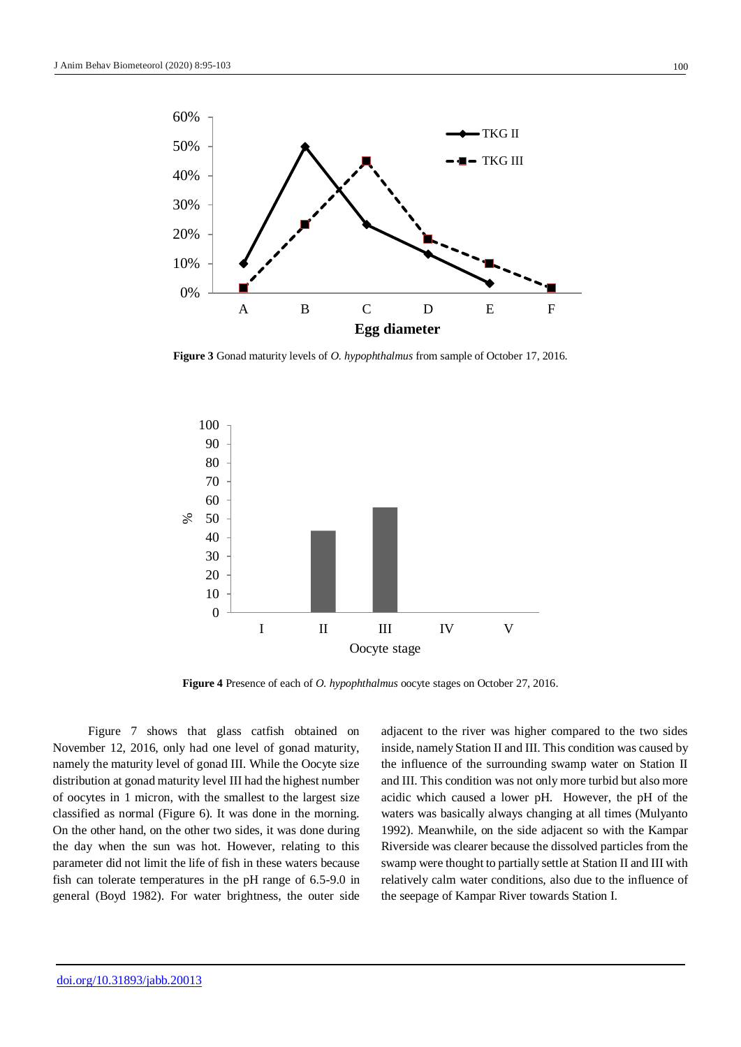

**Figure 3** Gonad maturity levels of *O. hypophthalmus* from sample of October 17, 2016.



**Figure 4** Presence of each of *O. hypophthalmus* oocyte stages on October 27, 2016.

Figure 7 shows that glass catfish obtained on November 12, 2016, only had one level of gonad maturity, namely the maturity level of gonad III. While the Oocyte size distribution at gonad maturity level III had the highest number of oocytes in 1 micron, with the smallest to the largest size classified as normal (Figure 6). It was done in the morning. On the other hand, on the other two sides, it was done during the day when the sun was hot. However, relating to this parameter did not limit the life of fish in these waters because fish can tolerate temperatures in the pH range of 6.5-9.0 in general (Boyd 1982). For water brightness, the outer side adjacent to the river was higher compared to the two sides inside, namely Station II and III. This condition was caused by the influence of the surrounding swamp water on Station II and III. This condition was not only more turbid but also more acidic which caused a lower pH. However, the pH of the waters was basically always changing at all times (Mulyanto 1992). Meanwhile, on the side adjacent so with the Kampar Riverside was clearer because the dissolved particles from the swamp were thought to partially settle at Station II and III with relatively calm water conditions, also due to the influence of the seepage of Kampar River towards Station I.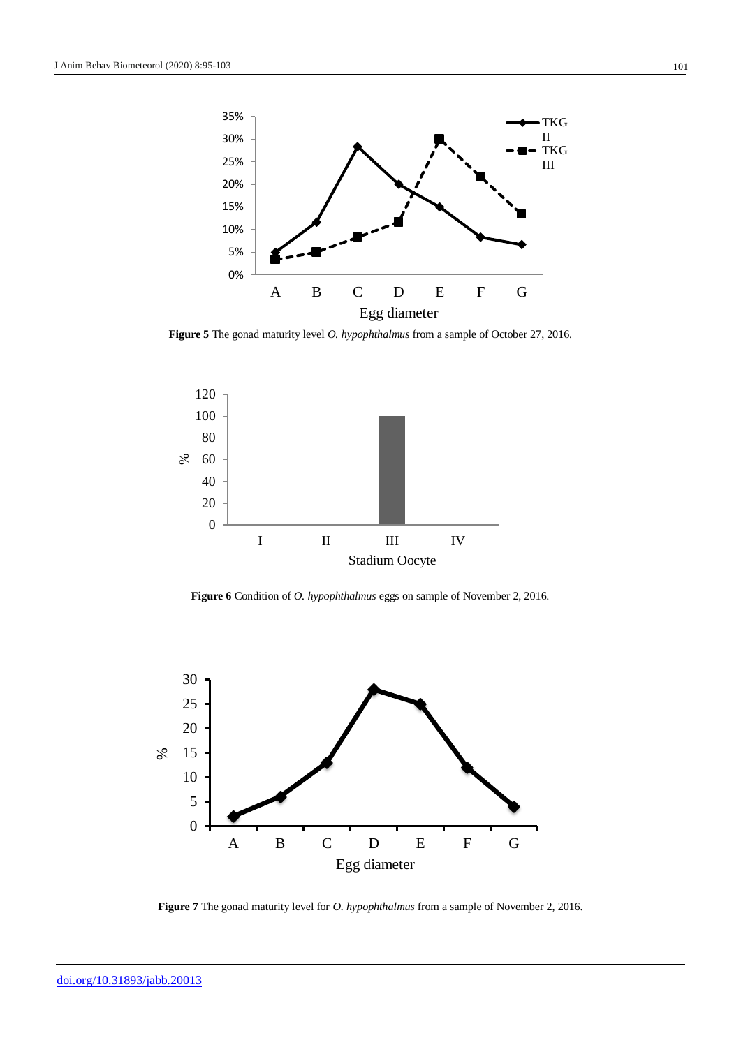

**Figure 5** The gonad maturity level *O. hypophthalmus* from a sample of October 27, 2016.



**Figure 6** Condition of *O. hypophthalmus* eggs on sample of November 2, 2016.



**Figure 7** The gonad maturity level for *O. hypophthalmus* from a sample of November 2, 2016.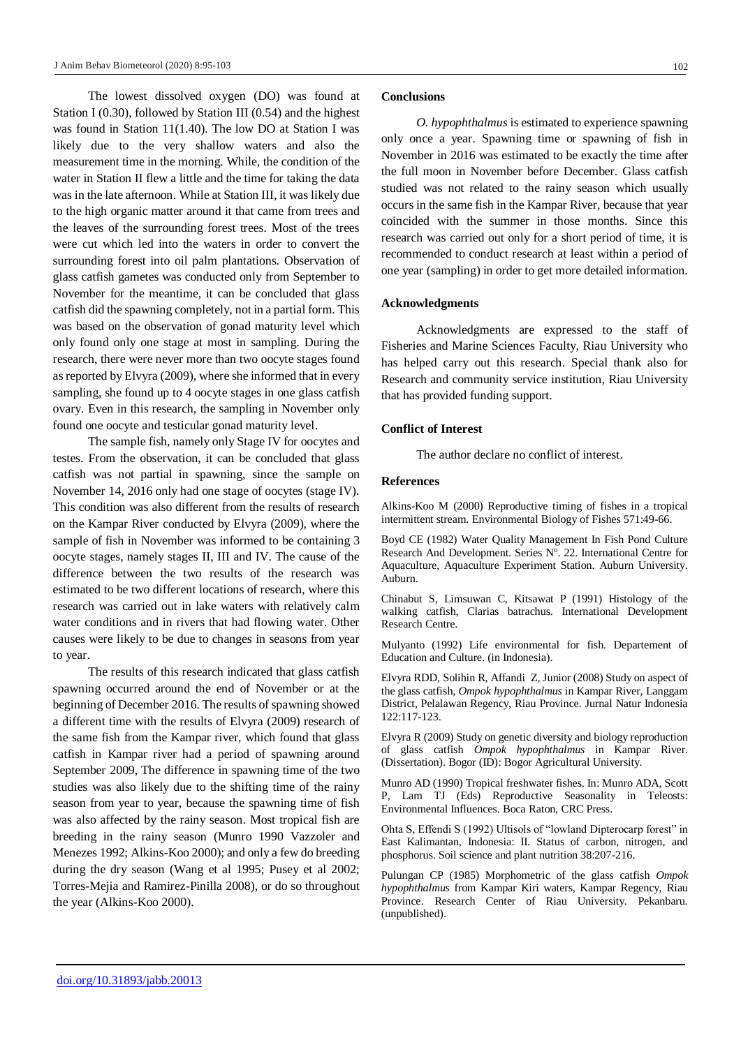The lowest dissolved oxygen (DO) was found at Station I (0.30), followed by Station III (0.54) and the highest was found in Station 11(1.40). The low DO at Station I was likely due to the very shallow waters and also the measurement time in the morning. While, the condition of the water in Station II flew a little and the time for taking the data was in the late afternoon. While at Station III, it was likely due to the high organic matter around it that came from trees and the leaves of the surrounding forest trees. Most of the trees were cut which led into the waters in order to convert the surrounding forest into oil palm plantations. Observation of glass catfish gametes was conducted only from September to November for the meantime, it can be concluded that glass catfish did the spawning completely, not in a partial form. This was based on the observation of gonad maturity level which only found only one stage at most in sampling. During the research, there were never more than two oocyte stages found as reported by Elvyra (2009), where she informed that in every sampling, she found up to 4 oocyte stages in one glass catfish ovary. Even in this research, the sampling in November only found one oocyte and testicular gonad maturity level.

The sample fish, namely only Stage IV for oocytes and testes. From the observation, it can be concluded that glass catfish was not partial in spawning, since the sample on November 14, 2016 only had one stage of oocytes (stage IV). This condition was also different from the results of research on the Kampar River conducted by Elvyra (2009), where the sample of fish in November was informed to be containing 3 oocyte stages, namely stages II, III and IV. The cause of the difference between the two results of the research was estimated to be two different locations of research, where this research was carried out in lake waters with relatively calm water conditions and in rivers that had flowing water. Other causes were likely to be due to changes in seasons from year to year.

The results of this research indicated that glass catfish spawning occurred around the end of November or at the beginning of December 2016. The results of spawning showed a different time with the results of Elvyra (2009) research of the same fish from the Kampar river, which found that glass catfish in Kampar river had a period of spawning around September 2009, The difference in spawning time of the two studies was also likely due to the shifting time of the rainy season from year to year, because the spawning time of fish was also affected by the rainy season. Most tropical fish are breeding in the rainy season (Munro 1990 Vazzoler and Menezes 1992; Alkins-Koo 2000); and only a few do breeding during the dry season (Wang et al 1995; Pusey et al 2002; Torres-Mejia and Ramirez-Pinilla 2008), or do so throughout the year (Alkins-Koo 2000).

#### **Conclusions**

*O. hypophthalmus* is estimated to experience spawning only once a year. Spawning time or spawning of fish in November in 2016 was estimated to be exactly the time after the full moon in November before December. Glass catfish studied was not related to the rainy season which usually occurs in the same fish in the Kampar River, because that year coincided with the summer in those months. Since this research was carried out only for a short period of time, it is recommended to conduct research at least within a period of one year (sampling) in order to get more detailed information.

#### **Acknowledgments**

Acknowledgments are expressed to the staff of Fisheries and Marine Sciences Faculty, Riau University who has helped carry out this research. Special thank also for Research and community service institution, Riau University that has provided funding support.

#### **Conflict of Interest**

The author declare no conflict of interest.

## **References**

Alkins-Koo M (2000) Reproductive timing of fishes in a tropical intermittent stream. Environmental Biology of Fishes 571:49-66.

Boyd CE (1982) Water Quality Management In Fish Pond Culture Research And Development. Series N°. 22. International Centre for Aquaculture, Aquaculture Experiment Station. Auburn University. Auburn.

Chinabut S, Limsuwan C, Kitsawat P (1991) Histology of the walking catfish, Clarias batrachus. International Development Research Centre.

Mulyanto (1992) Life environmental for fish. Departement of Education and Culture. (in Indonesia).

Elvyra RDD, Solihin R, Affandi Z, Junior (2008) Study on aspect of the glass catfish, *Ompok hypophthalmus* in Kampar River, Langgam District, Pelalawan Regency, Riau Province. Jurnal Natur Indonesia 122:117-123.

Elvyra R (2009) Study on genetic diversity and biology reproduction of glass catfish *Ompok hypophthalmus* in Kampar River. (Dissertation). Bogor (ID): Bogor Agricultural University.

Munro AD (1990) Tropical freshwater fishes. In: Munro ADA, Scott P, Lam TJ (Eds) Reproductive Seasonality in Teleosts: Environmental Influences. Boca Raton, CRC Press.

Ohta S, Effendi S (1992) Ultisols of "lowland Dipterocarp forest" in East Kalimantan, Indonesia: II. Status of carbon, nitrogen, and phosphorus. Soil science and plant nutrition 38:207-216.

Pulungan CP (1985) Morphometric of the glass catfish *Ompok hypophthalmus* from Kampar Kiri waters, Kampar Regency, Riau Province. Research Center of Riau University. Pekanbaru. (unpublished).